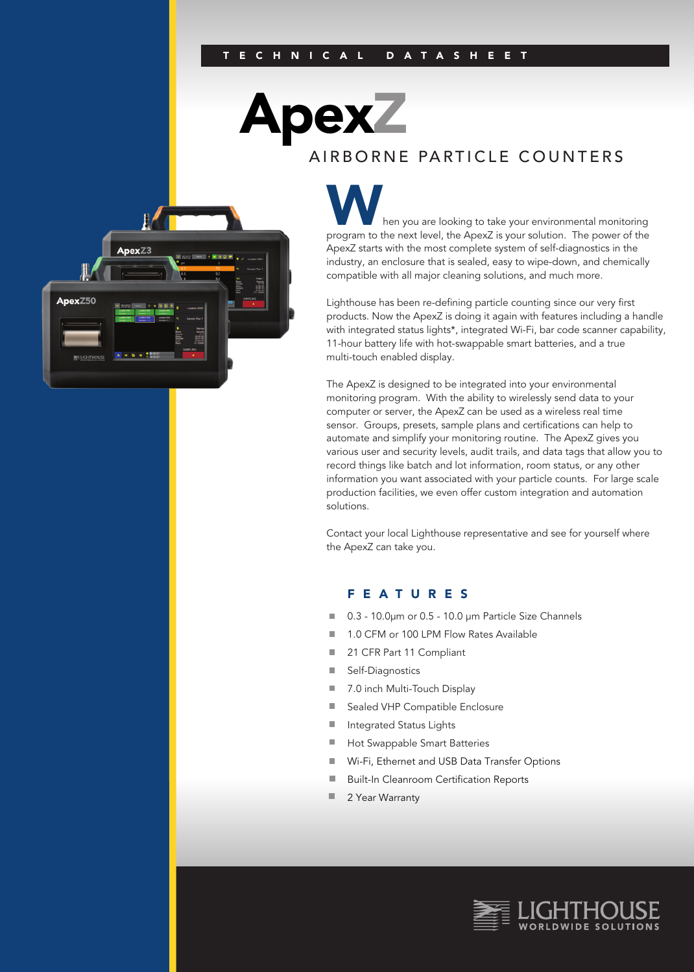Apex

### AIRBORNE PARTICLE COUNTERS



hen you are looking to take your environmental monitoring program to the next level, the ApexZ is your solution. The power of the ApexZ starts with the most complete system of self-diagnostics in the industry, an enclosure that is sealed, easy to wipe-down, and chemically compatible with all major cleaning solutions, and much more.

Lighthouse has been re-defining particle counting since our very first products. Now the ApexZ is doing it again with features including a handle with integrated status lights\*, integrated Wi-Fi, bar code scanner capability, 11-hour battery life with hot-swappable smart batteries, and a true multi-touch enabled display.

The ApexZ is designed to be integrated into your environmental monitoring program. With the ability to wirelessly send data to your computer or server, the ApexZ can be used as a wireless real time sensor. Groups, presets, sample plans and certifications can help to automate and simplify your monitoring routine. The ApexZ gives you various user and security levels, audit trails, and data tags that allow you to record things like batch and lot information, room status, or any other information you want associated with your particle counts. For large scale production facilities, we even offer custom integration and automation solutions.

Contact your local Lighthouse representative and see for yourself where the ApexZ can take you.

#### FEATURES

- 0.3 10.0µm or 0.5 10.0 µm Particle Size Channels
- 1.0 CFM or 100 LPM Flow Rates Available  $\blacksquare$
- 21 CFR Part 11 Compliant m.
- Self-Diagnostics ш
- 7.0 inch Multi-Touch Display ш
- Sealed VHP Compatible Enclosure  $\overline{\phantom{a}}$
- m. Integrated Status Lights
- $\blacksquare$ Hot Swappable Smart Batteries
- $\mathbb{R}^n$ Wi-Fi, Ethernet and USB Data Transfer Options
- $\blacksquare$ Built-In Cleanroom Certification Reports
- × 2 Year Warranty